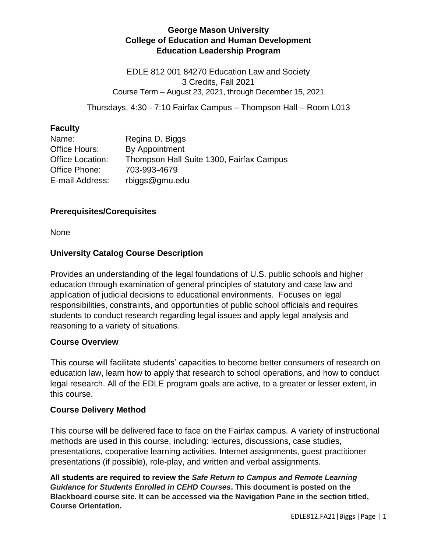# **George Mason University College of Education and Human Development Education Leadership Program**

EDLE 812 001 84270 Education Law and Society 3 Credits, Fall 2021 Course Term – August 23, 2021, through December 15, 2021

Thursdays, 4:30 - 7:10 Fairfax Campus – Thompson Hall – Room L013

## **Faculty**

| Name:            | Regina D. Biggs                          |
|------------------|------------------------------------------|
| Office Hours:    | By Appointment                           |
| Office Location: | Thompson Hall Suite 1300, Fairfax Campus |
| Office Phone:    | 703-993-4679                             |
| E-mail Address:  | rbiggs@gmu.edu                           |

# **Prerequisites/Corequisites**

None

# **University Catalog Course Description**

Provides an understanding of the legal foundations of U.S. public schools and higher education through examination of general principles of statutory and case law and application of judicial decisions to educational environments. Focuses on legal responsibilities, constraints, and opportunities of public school officials and requires students to conduct research regarding legal issues and apply legal analysis and reasoning to a variety of situations.

## **Course Overview**

This course will facilitate students' capacities to become better consumers of research on education law, learn how to apply that research to school operations, and how to conduct legal research. All of the EDLE program goals are active, to a greater or lesser extent, in this course.

## **Course Delivery Method**

This course will be delivered face to face on the Fairfax campus. A variety of instructional methods are used in this course, including: lectures, discussions, case studies, presentations, cooperative learning activities, Internet assignments, guest practitioner presentations (if possible), role-play, and written and verbal assignments.

**All students are required to review the** *Safe Return to Campus and Remote Learning Guidance for Students Enrolled in CEHD Courses***. This document is posted on the Blackboard course site. It can be accessed via the Navigation Pane in the section titled, Course Orientation.**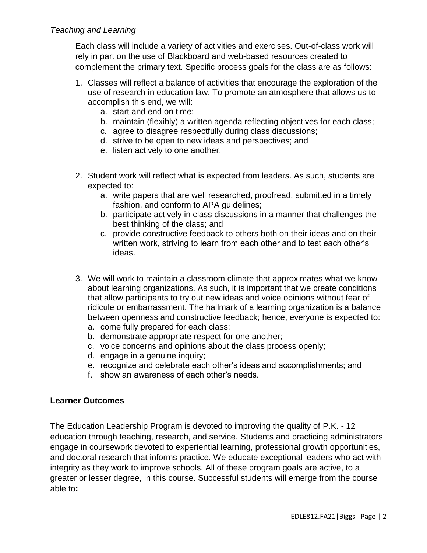# *Teaching and Learning*

Each class will include a variety of activities and exercises. Out-of-class work will rely in part on the use of Blackboard and web-based resources created to complement the primary text. Specific process goals for the class are as follows:

- 1. Classes will reflect a balance of activities that encourage the exploration of the use of research in education law. To promote an atmosphere that allows us to accomplish this end, we will:
	- a. start and end on time;
	- b. maintain (flexibly) a written agenda reflecting objectives for each class;
	- c. agree to disagree respectfully during class discussions;
	- d. strive to be open to new ideas and perspectives; and
	- e. listen actively to one another.
- 2. Student work will reflect what is expected from leaders. As such, students are expected to:
	- a. write papers that are well researched, proofread, submitted in a timely fashion, and conform to APA guidelines;
	- b. participate actively in class discussions in a manner that challenges the best thinking of the class; and
	- c. provide constructive feedback to others both on their ideas and on their written work, striving to learn from each other and to test each other's ideas.
- 3. We will work to maintain a classroom climate that approximates what we know about learning organizations. As such, it is important that we create conditions that allow participants to try out new ideas and voice opinions without fear of ridicule or embarrassment. The hallmark of a learning organization is a balance between openness and constructive feedback; hence, everyone is expected to:
	- a. come fully prepared for each class;
	- b. demonstrate appropriate respect for one another;
	- c. voice concerns and opinions about the class process openly;
	- d. engage in a genuine inquiry;
	- e. recognize and celebrate each other's ideas and accomplishments; and
	- f. show an awareness of each other's needs.

## **Learner Outcomes**

The Education Leadership Program is devoted to improving the quality of P.K. - 12 education through teaching, research, and service. Students and practicing administrators engage in coursework devoted to experiential learning, professional growth opportunities, and doctoral research that informs practice. We educate exceptional leaders who act with integrity as they work to improve schools. All of these program goals are active, to a greater or lesser degree, in this course. Successful students will emerge from the course able to**:**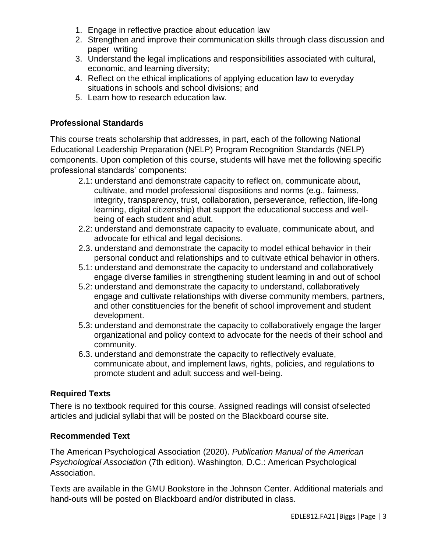- 1. Engage in reflective practice about education law
- 2. Strengthen and improve their communication skills through class discussion and paper writing
- 3. Understand the legal implications and responsibilities associated with cultural, economic, and learning diversity;
- 4. Reflect on the ethical implications of applying education law to everyday situations in schools and school divisions; and
- 5. Learn how to research education law.

# **Professional Standards**

This course treats scholarship that addresses, in part, each of the following National Educational Leadership Preparation (NELP) Program Recognition Standards (NELP) components. Upon completion of this course, students will have met the following specific professional standards' components:

- 2.1: understand and demonstrate capacity to reflect on, communicate about, cultivate, and model professional dispositions and norms (e.g., fairness, integrity, transparency, trust, collaboration, perseverance, reflection, life-long learning, digital citizenship) that support the educational success and wellbeing of each student and adult.
- 2.2: understand and demonstrate capacity to evaluate, communicate about, and advocate for ethical and legal decisions.
- 2.3. understand and demonstrate the capacity to model ethical behavior in their personal conduct and relationships and to cultivate ethical behavior in others.
- 5.1: understand and demonstrate the capacity to understand and collaboratively engage diverse families in strengthening student learning in and out of school
- 5.2: understand and demonstrate the capacity to understand, collaboratively engage and cultivate relationships with diverse community members, partners, and other constituencies for the benefit of school improvement and student development.
- 5.3: understand and demonstrate the capacity to collaboratively engage the larger organizational and policy context to advocate for the needs of their school and community.
- 6.3. understand and demonstrate the capacity to reflectively evaluate, communicate about, and implement laws, rights, policies, and regulations to promote student and adult success and well-being.

# **Required Texts**

There is no textbook required for this course. Assigned readings will consist ofselected articles and judicial syllabi that will be posted on the Blackboard course site.

## **Recommended Text**

The American Psychological Association (2020). *Publication Manual of the American Psychological Association* (7th edition). Washington, D.C.: American Psychological Association.

Texts are available in the GMU Bookstore in the Johnson Center. Additional materials and hand-outs will be posted on Blackboard and/or distributed in class.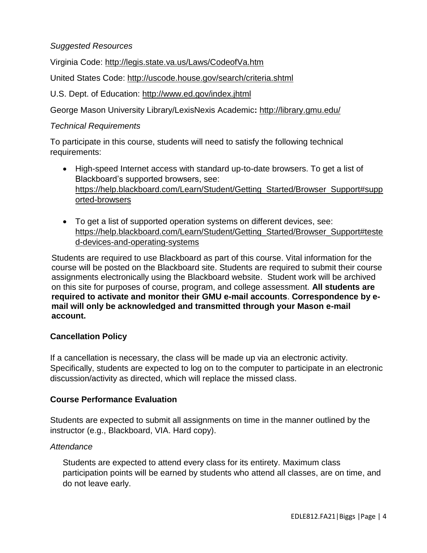# *Suggested Resources*

Virginia Code:<http://legis.state.va.us/Laws/CodeofVa.htm>

United States Code:<http://uscode.house.gov/search/criteria.shtml>

U.S. Dept. of Education:<http://www.ed.gov/index.jhtml>

George Mason University Library/LexisNexis Academic**:** <http://library.gmu.edu/>

#### *Technical Requirements*

To participate in this course, students will need to satisfy the following technical requirements:

- High-speed Internet access with standard up-to-date browsers. To get a list of Blackboard's supported browsers, see: [https://help.blackboard.com/Learn/Student/Getting\\_Started/Browser\\_Support#supp](https://help.blackboard.com/Learn/Student/Getting_Started/Browser_Support#supported-browsers)\_ [orted-browsers](https://help.blackboard.com/Learn/Student/Getting_Started/Browser_Support#supported-browsers)
- To get a list of supported operation systems on different devices, see: [https://help.blackboard.com/Learn/Student/Getting\\_Started/Browser\\_Support#teste](https://help.blackboard.com/Learn/Student/Getting_Started/Browser_Support#tested-devices-and-operating-systems) [d-devices-and-operating-systems](https://help.blackboard.com/Learn/Student/Getting_Started/Browser_Support#tested-devices-and-operating-systems)

Students are required to use Blackboard as part of this course. Vital information for the course will be posted on the Blackboard site. Students are required to submit their course assignments electronically using the Blackboard website. Student work will be archived on this site for purposes of course, program, and college assessment. **All students are required to activate and monitor their GMU e-mail accounts**. **Correspondence by email will only be acknowledged and transmitted through your Mason e-mail account.**

## **Cancellation Policy**

If a cancellation is necessary, the class will be made up via an electronic activity. Specifically, students are expected to log on to the computer to participate in an electronic discussion/activity as directed, which will replace the missed class.

## **Course Performance Evaluation**

Students are expected to submit all assignments on time in the manner outlined by the instructor (e.g., Blackboard, VIA. Hard copy).

## *Attendance*

Students are expected to attend every class for its entirety. Maximum class participation points will be earned by students who attend all classes, are on time, and do not leave early.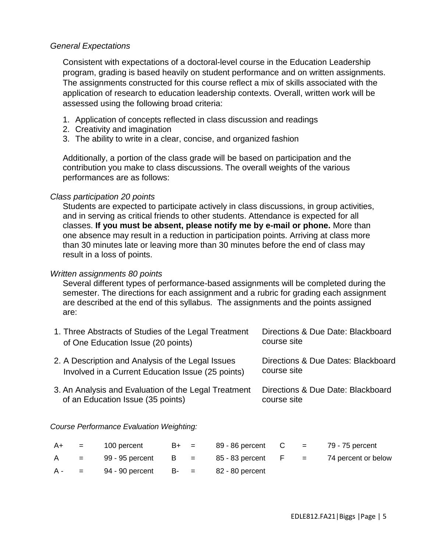#### *General Expectations*

Consistent with expectations of a doctoral-level course in the Education Leadership program, grading is based heavily on student performance and on written assignments. The assignments constructed for this course reflect a mix of skills associated with the application of research to education leadership contexts. Overall, written work will be assessed using the following broad criteria:

- 1. Application of concepts reflected in class discussion and readings
- 2. Creativity and imagination
- 3. The ability to write in a clear, concise, and organized fashion

Additionally, a portion of the class grade will be based on participation and the contribution you make to class discussions. The overall weights of the various performances are as follows:

#### *Class participation 20 points*

Students are expected to participate actively in class discussions, in group activities, and in serving as critical friends to other students. Attendance is expected for all classes. **If you must be absent, please notify me by e-mail or phone.** More than one absence may result in a reduction in participation points. Arriving at class more than 30 minutes late or leaving more than 30 minutes before the end of class may result in a loss of points.

#### *Written assignments 80 points*

Several different types of performance-based assignments will be completed during the semester. The directions for each assignment and a rubric for grading each assignment are described at the end of this syllabus. The assignments and the points assigned are:

| 1. Three Abstracts of Studies of the Legal Treatment | Directions & Due Date: Blackboard  |
|------------------------------------------------------|------------------------------------|
| of One Education Issue (20 points)                   | course site                        |
| 2. A Description and Analysis of the Legal Issues    | Directions & Due Dates: Blackboard |
| Involved in a Current Education Issue (25 points)    | course site                        |
| 3. An Analysis and Evaluation of the Legal Treatment | Directions & Due Date: Blackboard  |
| of an Education Issue (35 points)                    | course site                        |

*Course Performance Evaluation Weighting:* 

|  | $A+ = 100$ percent                             |  | $B+$ = 89 - 86 percent C = 79 - 75 percent |  |                                                                       |
|--|------------------------------------------------|--|--------------------------------------------|--|-----------------------------------------------------------------------|
|  |                                                |  |                                            |  | $A = 99 - 95$ percent $B = 85 - 83$ percent $F = 74$ percent or below |
|  | $A - = 94 - 90$ percent B- = $82 - 80$ percent |  |                                            |  |                                                                       |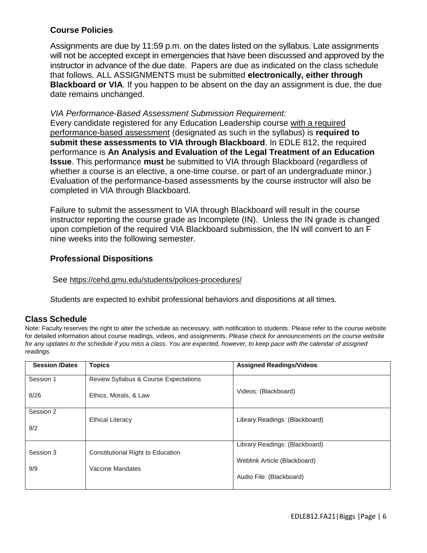# **Course Policies**

Assignments are due by 11:59 p.m. on the dates listed on the syllabus. Late assignments will not be accepted except in emergencies that have been discussed and approved by the instructor in advance of the due date. Papers are due as indicated on the class schedule that follows. ALL ASSIGNMENTS must be submitted **electronically, either through Blackboard or VIA**. If you happen to be absent on the day an assignment is due, the due date remains unchanged.

#### *VIA Performance-Based Assessment Submission Requirement:*

Every candidate registered for any Education Leadership course with a required performance-based assessment (designated as such in the syllabus) is **required to submit these assessments to VIA through Blackboard**. In EDLE 812, the required performance is **An Analysis and Evaluation of the Legal Treatment of an Education Issue**. This performance **must** be submitted to VIA through Blackboard (regardless of whether a course is an elective, a one-time course, or part of an undergraduate minor.) Evaluation of the performance-based assessments by the course instructor will also be completed in VIA through Blackboard.

Failure to submit the assessment to VIA through Blackboard will result in the course instructor reporting the course grade as Incomplete (IN). Unless the IN grade is changed upon completion of the required VIA Blackboard submission, the IN will convert to an F nine weeks into the following semester.

## **Professional Dispositions**

See <https://cehd.gmu.edu/students/polices-procedures/>

Students are expected to exhibit professional behaviors and dispositions at all times.

## **Class Schedule**

Note: Faculty reserves the right to alter the schedule as necessary, with notification to students. Please refer to the course website for detailed information about course readings, videos, and assignments. *Please check for announcements on the course website for any updates to the schedule if you miss a class. You are expected, however, to keep pace with the calendar of assigned readings.* 

| <b>Session /Dates</b> | <b>Topics</b>                            | <b>Assigned Readings/Videos</b> |
|-----------------------|------------------------------------------|---------------------------------|
| Session 1             | Review Syllabus & Course Expectations    |                                 |
| 8/26                  | Ethics, Morals, & Law                    | Videos: (Blackboard)            |
| Session 2             | <b>Ethical Literacy</b>                  | Library Readings: (Blackboard)  |
| 9/2                   |                                          |                                 |
| Session 3             | <b>Constitutional Right to Education</b> | Library Readings: (Blackboard)  |
|                       |                                          | Weblink Article (Blackboard)    |
| 9/9                   | Vaccine Mandates                         |                                 |
|                       |                                          | Audio File: (Blackboard)        |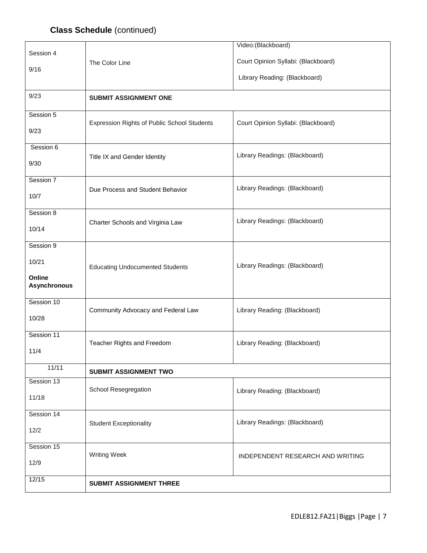# **Class Schedule** (continued)

|                     |                                             | Video: (Blackboard)                 |  |  |
|---------------------|---------------------------------------------|-------------------------------------|--|--|
| Session 4           |                                             |                                     |  |  |
| 9/16                | The Color Line                              | Court Opinion Syllabi: (Blackboard) |  |  |
|                     |                                             | Library Reading: (Blackboard)       |  |  |
|                     |                                             |                                     |  |  |
| 9/23                | <b>SUBMIT ASSIGNMENT ONE</b>                |                                     |  |  |
|                     |                                             |                                     |  |  |
| Session 5           | Expression Rights of Public School Students | Court Opinion Syllabi: (Blackboard) |  |  |
| 9/23                |                                             |                                     |  |  |
|                     |                                             |                                     |  |  |
| Session 6           |                                             | Library Readings: (Blackboard)      |  |  |
| 9/30                | Title IX and Gender Identity                |                                     |  |  |
|                     |                                             |                                     |  |  |
| Session 7           |                                             |                                     |  |  |
| 10/7                | Due Process and Student Behavior            | Library Readings: (Blackboard)      |  |  |
|                     |                                             |                                     |  |  |
| Session 8           |                                             |                                     |  |  |
| 10/14               | Charter Schools and Virginia Law            | Library Readings: (Blackboard)      |  |  |
|                     |                                             |                                     |  |  |
| Session 9           |                                             |                                     |  |  |
| 10/21               |                                             |                                     |  |  |
|                     | <b>Educating Undocumented Students</b>      | Library Readings: (Blackboard)      |  |  |
| Online              |                                             |                                     |  |  |
| <b>Asynchronous</b> |                                             |                                     |  |  |
| Session 10          |                                             |                                     |  |  |
|                     | Community Advocacy and Federal Law          | Library Reading: (Blackboard)       |  |  |
| 10/28               |                                             |                                     |  |  |
| Session 11          |                                             |                                     |  |  |
|                     | Teacher Rights and Freedom                  | Library Reading: (Blackboard)       |  |  |
| 11/4                |                                             |                                     |  |  |
|                     |                                             |                                     |  |  |
| 11/11               | <b>SUBMIT ASSIGNMENT TWO</b>                |                                     |  |  |
| Session 13          |                                             |                                     |  |  |
| 11/18               | School Resegregation                        | Library Reading: (Blackboard)       |  |  |
|                     |                                             |                                     |  |  |
| Session 14          |                                             |                                     |  |  |
| 12/2                | <b>Student Exceptionality</b>               | Library Readings: (Blackboard)      |  |  |
|                     |                                             |                                     |  |  |
| Session 15          |                                             |                                     |  |  |
|                     | <b>Writing Week</b>                         | INDEPENDENT RESEARCH AND WRITING    |  |  |
| 12/9                |                                             |                                     |  |  |
| 12/15               |                                             |                                     |  |  |
|                     | <b>SUBMIT ASSIGNMENT THREE</b>              |                                     |  |  |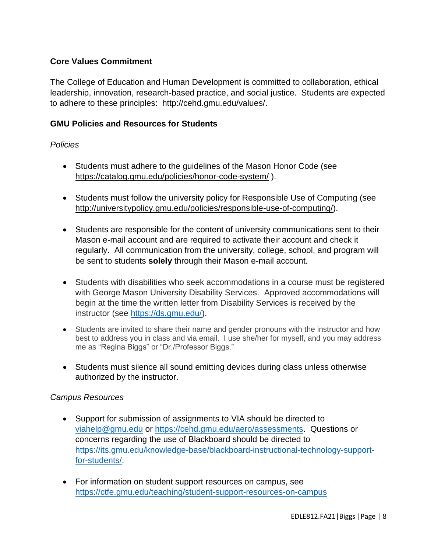# **Core Values Commitment**

The College of Education and Human Development is committed to collaboration, ethical leadership, innovation, research-based practice, and social justice. Students are expected to adhere to these principles: [http://cehd.gmu.edu/values/.](http://cehd.gmu.edu/values/)

## **GMU Policies and Resources for Students**

#### *Policies*

- Students must adhere to the guidelines of the Mason Honor Code (see <https://catalog.gmu.edu/policies/honor-code-system/> ).
- Students must follow the university policy for Responsible Use of Computing (see [http://universitypolicy.gmu.edu/policies/responsible-use-of-computing/\)](http://universitypolicy.gmu.edu/policies/responsible-use-of-computing/).
- Students are responsible for the content of university communications sent to their Mason e-mail account and are required to activate their account and check it regularly. All communication from the university, college, school, and program will be sent to students **solely** through their Mason e-mail account.
- Students with disabilities who seek accommodations in a course must be registered with George Mason University Disability Services. Approved accommodations will begin at the time the written letter from Disability Services is received by the instructor (see [https://ds.gmu.edu/\)](https://ds.gmu.edu/).
- Students are invited to share their name and gender pronouns with the instructor and how best to address you in class and via email. I use she/her for myself, and you may address me as "Regina Biggs" or "Dr./Professor Biggs."
- Students must silence all sound emitting devices during class unless otherwise authorized by the instructor.

#### *Campus Resources*

- Support for submission of assignments to VIA should be directed to [viahelp@gmu.edu](mailto:viahelp@gmu.edu) or [https://cehd.gmu.edu/aero/assessments.](https://cehd.gmu.edu/aero/assessments) Questions or concerns regarding the use of Blackboard should be directed to [https://its.gmu.edu/knowledge-base/blackboard-instructional-technology-support](https://its.gmu.edu/knowledge-base/blackboard-instructional-technology-support-for-students/)[for-students/.](https://its.gmu.edu/knowledge-base/blackboard-instructional-technology-support-for-students/)
- For information on student support resources on campus, see <https://ctfe.gmu.edu/teaching/student-support-resources-on-campus>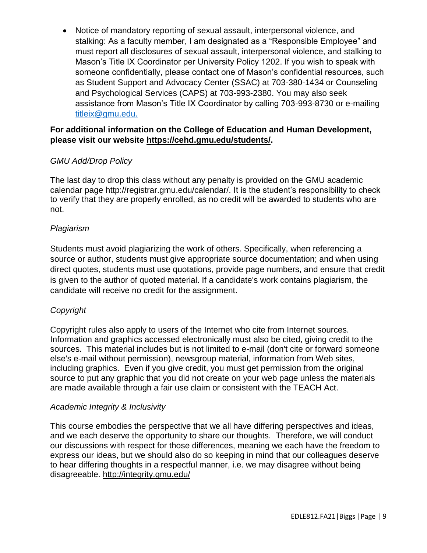Notice of mandatory reporting of sexual assault, interpersonal violence, and stalking: As a faculty member, I am designated as a "Responsible Employee" and must report all disclosures of sexual assault, interpersonal violence, and stalking to Mason's Title IX Coordinator per University Policy 1202. If you wish to speak with someone confidentially, please contact one of Mason's confidential resources, such as Student Support and Advocacy Center (SSAC) at 703-380-1434 or Counseling and Psychological Services (CAPS) at 703-993-2380. You may also seek assistance from Mason's Title IX Coordinator by calling 703-993-8730 or e-mailing [titleix@gmu.edu.](mailto:titleix@gmu.edu)

# **For additional information on the College of Education and Human Development, please visit our website [https://cehd.gmu.edu/students/.](https://cehd.gmu.edu/students/)**

# *GMU Add/Drop Policy*

The last day to drop this class without any penalty is provided on the GMU academic calendar page [http://registrar.gmu.edu/calendar/.](http://registrar.gmu.edu/calendar/) It is the student's responsibility to check to verify that they are properly enrolled, as no credit will be awarded to students who are not.

# *Plagiarism*

Students must avoid plagiarizing the work of others. Specifically, when referencing a source or author, students must give appropriate source documentation; and when using direct quotes, students must use quotations, provide page numbers, and ensure that credit is given to the author of quoted material. If a candidate's work contains plagiarism, the candidate will receive no credit for the assignment.

# *Copyright*

Copyright rules also apply to users of the Internet who cite from Internet sources. Information and graphics accessed electronically must also be cited, giving credit to the sources. This material includes but is not limited to e-mail (don't cite or forward someone else's e-mail without permission), newsgroup material, information from Web sites, including graphics. Even if you give credit, you must get permission from the original source to put any graphic that you did not create on your web page unless the materials are made available through a fair use claim or consistent with the TEACH Act.

## *Academic Integrity & Inclusivity*

This course embodies the perspective that we all have differing perspectives and ideas, and we each deserve the opportunity to share our thoughts. Therefore, we will conduct our discussions with respect for those differences, meaning we each have the freedom to express our ideas, but we should also do so keeping in mind that our colleagues deserve to hear differing thoughts in a respectful manner, i.e. we may disagree without being disagreeable.<http://integrity.gmu.edu/>